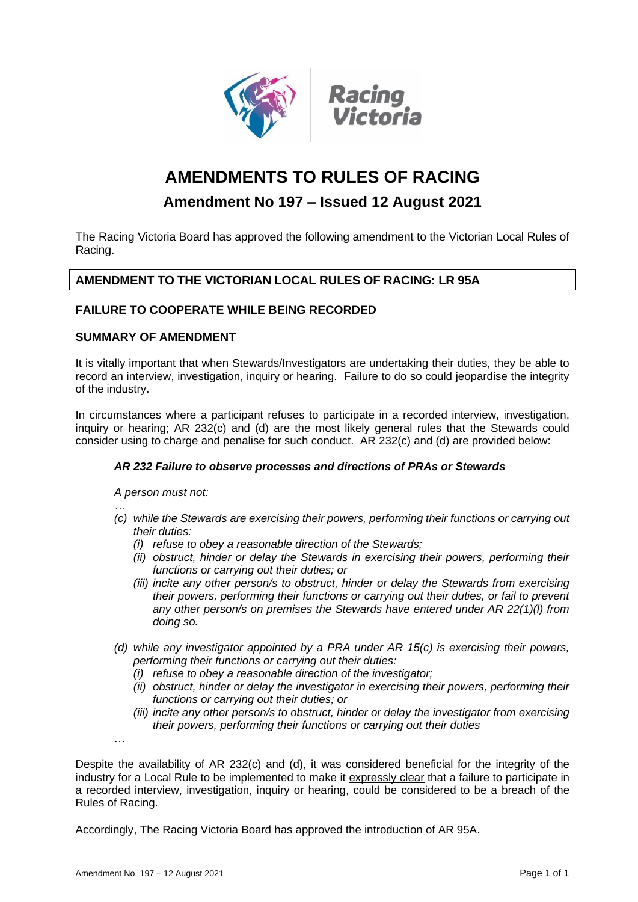

# **AMENDMENTS TO RULES OF RACING**

# **Amendment No 197 – Issued 12 August 2021**

The Racing Victoria Board has approved the following amendment to the Victorian Local Rules of Racing.

# **AMENDMENT TO THE VICTORIAN LOCAL RULES OF RACING: LR 95A**

### **FAILURE TO COOPERATE WHILE BEING RECORDED**

#### **SUMMARY OF AMENDMENT**

It is vitally important that when Stewards/Investigators are undertaking their duties, they be able to record an interview, investigation, inquiry or hearing. Failure to do so could jeopardise the integrity of the industry.

In circumstances where a participant refuses to participate in a recorded interview, investigation, inquiry or hearing; AR 232(c) and (d) are the most likely general rules that the Stewards could consider using to charge and penalise for such conduct. AR 232(c) and (d) are provided below:

#### *AR 232 Failure to observe processes and directions of PRAs or Stewards*

*A person must not:*

- *… (c) while the Stewards are exercising their powers, performing their functions or carrying out their duties:* 
	- *(i) refuse to obey a reasonable direction of the Stewards;*
	- *(ii) obstruct, hinder or delay the Stewards in exercising their powers, performing their functions or carrying out their duties; or*
	- *(iii) incite any other person/s to obstruct, hinder or delay the Stewards from exercising their powers, performing their functions or carrying out their duties, or fail to prevent any other person/s on premises the Stewards have entered under AR 22(1)(l) from doing so.*
- *(d) while any investigator appointed by a PRA under AR 15(c) is exercising their powers, performing their functions or carrying out their duties:* 
	- *(i) refuse to obey a reasonable direction of the investigator;*
	- *(ii) obstruct, hinder or delay the investigator in exercising their powers, performing their functions or carrying out their duties; or*
	- *(iii) incite any other person/s to obstruct, hinder or delay the investigator from exercising their powers, performing their functions or carrying out their duties*

Despite the availability of AR 232(c) and (d), it was considered beneficial for the integrity of the industry for a Local Rule to be implemented to make it expressly clear that a failure to participate in a recorded interview, investigation, inquiry or hearing, could be considered to be a breach of the Rules of Racing.

Accordingly, The Racing Victoria Board has approved the introduction of AR 95A.

…